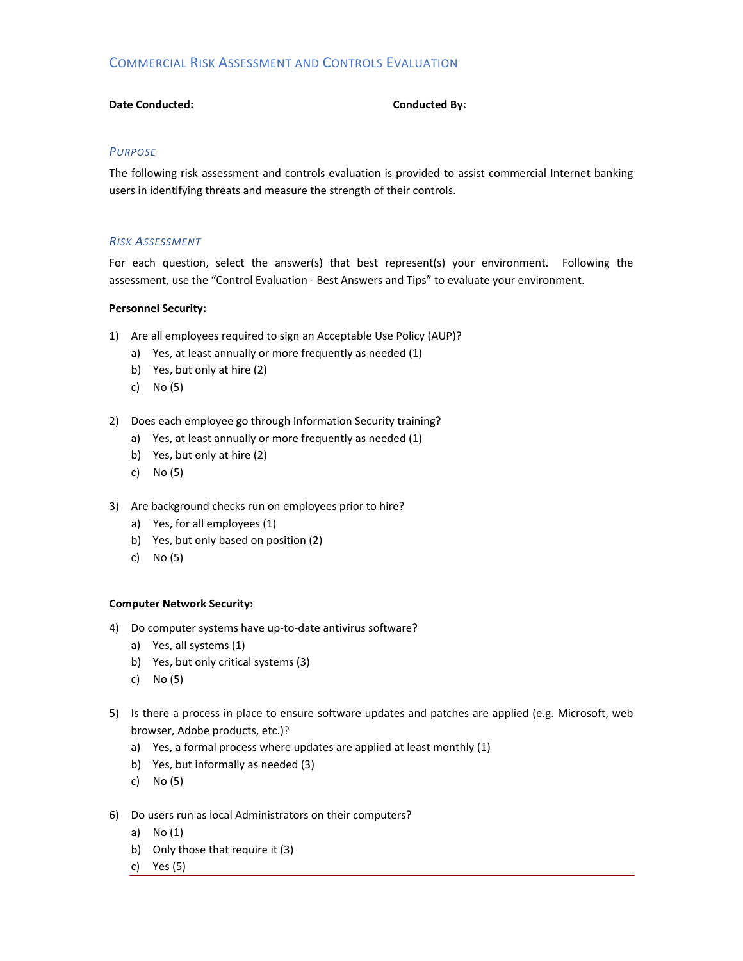# COMMERCIAL RISK ASSESSMENT AND CONTROLS EVALUATION

## **Date Conducted: Conducted By:**

## *PURPOSE*

The following risk assessment and controls evaluation is provided to assist commercial Internet banking users in identifying threats and measure the strength of their controls.

## *RISK ASSESSMENT*

For each question, select the answer(s) that best represent(s) your environment. Following the assessment, use the "Control Evaluation ‐ Best Answers and Tips" to evaluate your environment.

## **Personnel Security:**

- 1) Are all employees required to sign an Acceptable Use Policy (AUP)?
	- a) Yes, at least annually or more frequently as needed (1)
	- b) Yes, but only at hire (2)
	- c) No (5)
- 2) Does each employee go through Information Security training?
	- a) Yes, at least annually or more frequently as needed (1)
	- b) Yes, but only at hire (2)
	- c) No (5)
- 3) Are background checks run on employees prior to hire?
	- a) Yes, for all employees (1)
	- b) Yes, but only based on position (2)
	- c) No (5)

## **Computer Network Security:**

- 4) Do computer systems have up-to-date antivirus software?
	- a) Yes, all systems (1)
	- b) Yes, but only critical systems (3)
	- c) No (5)
- 5) Is there a process in place to ensure software updates and patches are applied (e.g. Microsoft, web browser, Adobe products, etc.)?
	- a) Yes, a formal process where updates are applied at least monthly (1)
	- b) Yes, but informally as needed (3)
	- c) No (5)
- 6) Do users run as local Administrators on their computers?
	- a) No (1)
	- b) Only those that require it (3)
	- c) Yes (5)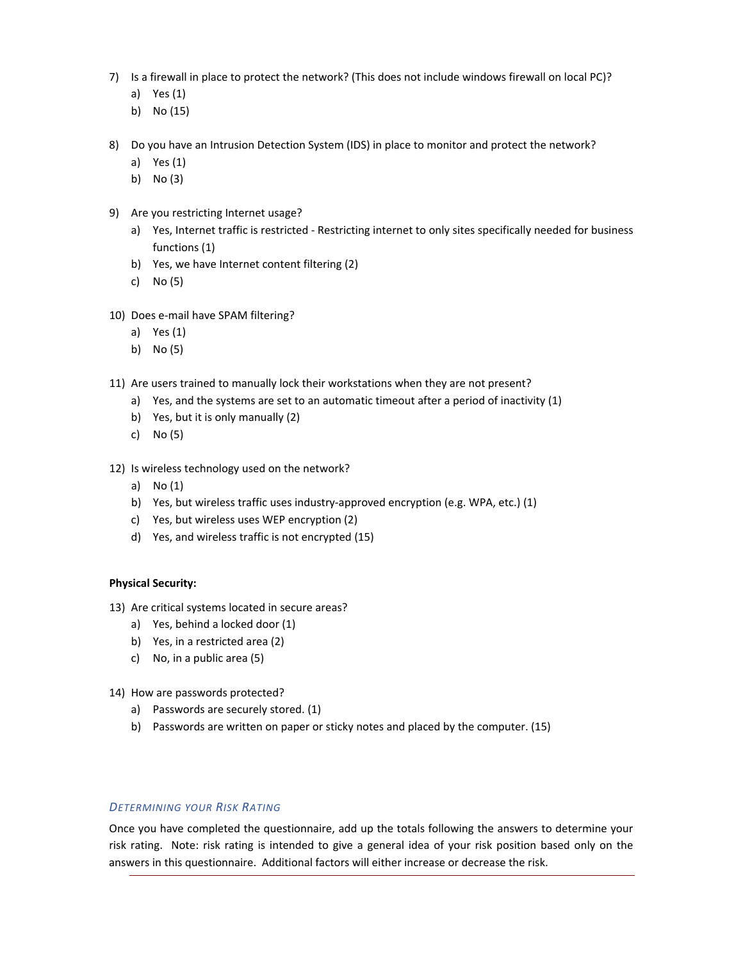- 7) Is a firewall in place to protect the network? (This does not include windows firewall on local PC)?
	- a) Yes (1)
	- b) No (15)
- 8) Do you have an Intrusion Detection System (IDS) in place to monitor and protect the network?
	- a) Yes (1)
	- b) No (3)
- 9) Are you restricting Internet usage?
	- a) Yes, Internet traffic is restricted Restricting internet to only sites specifically needed for business functions (1)
	- b) Yes, we have Internet content filtering (2)
	- c) No (5)
- 10) Does e-mail have SPAM filtering?
	- a) Yes (1)
	- b) No (5)
- 11) Are users trained to manually lock their workstations when they are not present?
	- a) Yes, and the systems are set to an automatic timeout after a period of inactivity (1)
	- b) Yes, but it is only manually (2)
	- c) No (5)
- 12) Is wireless technology used on the network?
	- a) No (1)
	- b) Yes, but wireless traffic uses industry-approved encryption (e.g. WPA, etc.) (1)
	- c) Yes, but wireless uses WEP encryption (2)
	- d) Yes, and wireless traffic is not encrypted (15)

### **Physical Security:**

- 13) Are critical systems located in secure areas?
	- a) Yes, behind a locked door (1)
	- b) Yes, in a restricted area (2)
	- c) No, in a public area (5)
- 14) How are passwords protected?
	- a) Passwords are securely stored. (1)
	- b) Passwords are written on paper or sticky notes and placed by the computer. (15)

## *DETERMINING YOUR RISK RATING*

Once you have completed the questionnaire, add up the totals following the answers to determine your risk rating. Note: risk rating is intended to give a general idea of your risk position based only on the answers in this questionnaire. Additional factors will either increase or decrease the risk.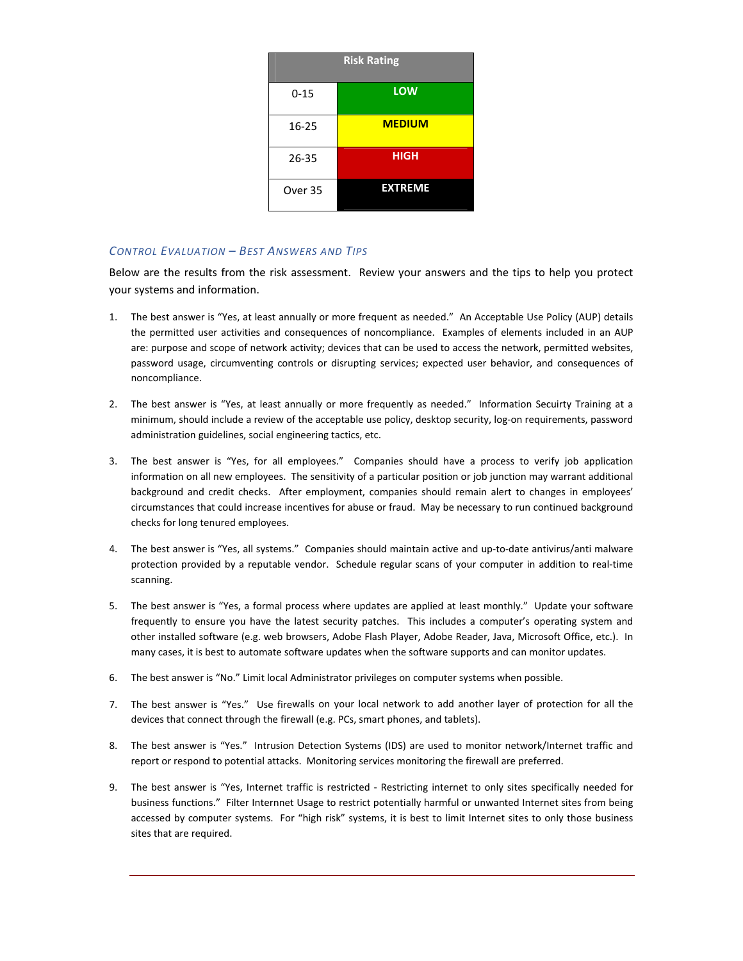| <b>Risk Rating</b> |                |
|--------------------|----------------|
| $0 - 15$           | <b>LOW</b>     |
| 16-25              | <b>MEDIUM</b>  |
| $26 - 35$          | <b>HIGH</b>    |
| Over 35            | <b>EXTREME</b> |

## *CONTROL EVALUATION – BEST ANSWERS AND TIPS*

Below are the results from the risk assessment. Review your answers and the tips to help you protect your systems and information.

- 1. The best answer is "Yes, at least annually or more frequent as needed." An Acceptable Use Policy (AUP) details the permitted user activities and consequences of noncompliance. Examples of elements included in an AUP are: purpose and scope of network activity; devices that can be used to access the network, permitted websites, password usage, circumventing controls or disrupting services; expected user behavior, and consequences of noncompliance.
- 2. The best answer is "Yes, at least annually or more frequently as needed." Information Secuirty Training at a minimum, should include a review of the acceptable use policy, desktop security, log‐on requirements, password administration guidelines, social engineering tactics, etc.
- 3. The best answer is "Yes, for all employees." Companies should have a process to verify job application information on all new employees. The sensitivity of a particular position or job junction may warrant additional background and credit checks. After employment, companies should remain alert to changes in employees' circumstances that could increase incentives for abuse or fraud. May be necessary to run continued background checks for long tenured employees.
- 4. The best answer is "Yes, all systems." Companies should maintain active and up‐to‐date antivirus/anti malware protection provided by a reputable vendor. Schedule regular scans of your computer in addition to real‐time scanning.
- 5. The best answer is "Yes, a formal process where updates are applied at least monthly." Update your software frequently to ensure you have the latest security patches. This includes a computer's operating system and other installed software (e.g. web browsers, Adobe Flash Player, Adobe Reader, Java, Microsoft Office, etc.). In many cases, it is best to automate software updates when the software supports and can monitor updates.
- 6. The best answer is "No." Limit local Administrator privileges on computer systems when possible.
- 7. The best answer is "Yes." Use firewalls on your local network to add another layer of protection for all the devices that connect through the firewall (e.g. PCs, smart phones, and tablets).
- 8. The best answer is "Yes." Intrusion Detection Systems (IDS) are used to monitor network/Internet traffic and report or respond to potential attacks. Monitoring services monitoring the firewall are preferred.
- 9. The best answer is "Yes, Internet traffic is restricted Restricting internet to only sites specifically needed for business functions." Filter Internnet Usage to restrict potentially harmful or unwanted Internet sites from being accessed by computer systems. For "high risk" systems, it is best to limit Internet sites to only those business sites that are required.